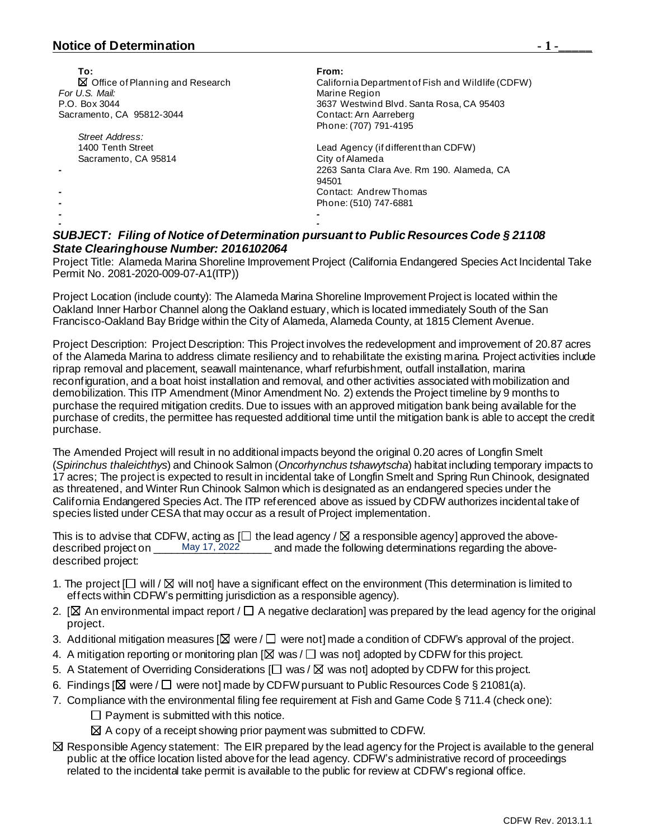## **Notice of Determination**  $\qquad \qquad$  **1 -**

| To:                                         | From:                                                                                                                                                                                                                              |
|---------------------------------------------|------------------------------------------------------------------------------------------------------------------------------------------------------------------------------------------------------------------------------------|
| $\boxtimes$ Office of Planning and Research | California Department of Fish and Wildlife (CDFW)                                                                                                                                                                                  |
| For U.S. Mail:                              | Marine Region                                                                                                                                                                                                                      |
| P.O. Box 3044                               | 3637 Westwind Blvd. Santa Rosa, CA 95403                                                                                                                                                                                           |
| Sacramento, CA 95812-3044                   | Contact: Arn Aarreberg                                                                                                                                                                                                             |
|                                             | Phone: (707) 791-4195                                                                                                                                                                                                              |
| Street Address:                             |                                                                                                                                                                                                                                    |
| 1400 Tenth Street                           | Lead Agency (if different than CDFW)                                                                                                                                                                                               |
| Sacramento, CA 95814                        | City of Alameda                                                                                                                                                                                                                    |
|                                             | 2263 Santa Clara Ave. Rm 190. Alameda. CA                                                                                                                                                                                          |
|                                             | 94501                                                                                                                                                                                                                              |
|                                             | Contact: Andrew Thomas                                                                                                                                                                                                             |
|                                             | Phone: (510) 747-6881                                                                                                                                                                                                              |
|                                             |                                                                                                                                                                                                                                    |
|                                             |                                                                                                                                                                                                                                    |
|                                             | $\mathcal{L}$ , and a set of the set of the set of the set of the set of the set of the set of the set of the set of the set of the set of the set of the set of the set of the set of the set of the set of the set of the set of |

## *SUBJECT: Filing of Notice of Determination pursuant to Public Resources Code § 21108 State Clearinghouse Number: 2016102064*

Project Title: Alameda Marina Shoreline Improvement Project (California Endangered Species Act Incidental Take Permit No. 2081-2020-009-07-A1(ITP))

Project Location (include county): The Alameda Marina Shoreline Improvement Project is located within the Oakland Inner Harbor Channel along the Oakland estuary, which is located immediately South of the San Francisco-Oakland Bay Bridge within the City of Alameda, Alameda County, at 1815 Clement Avenue.

Project Description: Project Description: This Project involves the redevelopment and improvement of 20.87 acres of the Alameda Marina to address climate resiliency and to rehabilitate the existing marina. Project activities include riprap removal and placement, seawall maintenance, wharf refurbishment, outfall installation, marina reconfiguration, and a boat hoist installation and removal, and other activities associated with mobilization and demobilization. This ITP Amendment (Minor Amendment No. 2) extends the Project timeline by 9 months to purchase the required mitigation credits. Due to issues with an approved mitigation bank being available for the purchase of credits, the permittee has requested additional time until the mitigation bank is able to accept the credit purchase.

The Amended Project will result in no additional impacts beyond the original 0.20 acres of Longfin Smelt (*Spirinchus thaleichthys*) and Chinook Salmon (*Oncorhynchus tshawytscha*) habitat including temporary impacts to 17 acres; The project is expected to result in incidental take of Longfin Smelt and Spring Run Chinook, designated as threatened, and Winter Run Chinook Salmon which is designated as an endangered species under the California Endangered Species Act. The ITP referenced above as issued by CDFW authorizes incidental take of species listed under CESA that may occur as a result of Project implementation.

This is to advise that CDFW, acting as  $\Box$  the lead agency /  $\boxtimes$  a responsible agency] approved the above-<br>described project on \_\_\_\_\_\_May 17, 2022\_\_\_\_\_\_\_\_ and made the following determinations regarding the abovedescribed project on \_\_\_\_\_\_May 17, 2022 \_\_\_\_\_\_\_ and made the following determinations regarding the abovedescribed project:

- 1. The project  $\Box$  will  $\Box$  will not] have a significant effect on the environment (This determination is limited to effects within CDFW's permitting jurisdiction as a responsible agency).
- 2. [ $\boxtimes$  An environmental impact report /  $\Box$  A negative declaration] was prepared by the lead agency for the original project.
- 3. Additional mitigation measures  $[ $\boxtimes$  were /  $\square$  were not] made a condition of CDFW's approval of the project.$
- 4. A mitigation reporting or monitoring plan  $[\boxtimes]$  was /  $\square$  was not] adopted by CDFW for this project.
- 5. A Statement of Overriding Considerations  $[\Box$  was /  $\boxtimes$  was not] adopted by CDFW for this project.
- 6. Findings  $[\boxtimes]$  were /  $\Box$  were not] made by CDFW pursuant to Public Resources Code § 21081(a).
- 7. Compliance with the environmental filing fee requirement at Fish and Game Code § 711.4 (check one):
	- $\Box$  Payment is submitted with this notice.
	- $\boxtimes$  A copy of a receipt showing prior payment was submitted to CDFW.
- $\boxtimes$  Responsible Agency statement: The EIR prepared by the lead agency for the Project is available to the general public at the office location listed above for the lead agency. CDFW's administrative record of proceedings related to the incidental take permit is available to the public for review at CDFW's regional office.